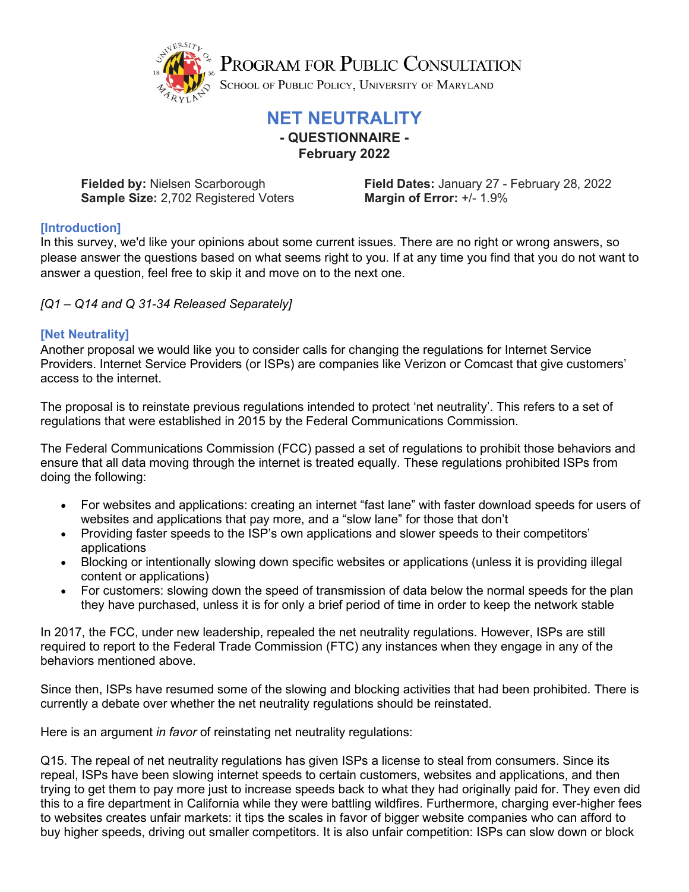

PROGRAM FOR PUBLIC CONSULTATION

SCHOOL OF PUBLIC POLICY, UNIVERSITY OF MARYLAND

## **NET NEUTRALITY**

**- QUESTIONNAIRE - February 2022**

**Sample Size:** 2,702 Registered Voters

**Fielded by:** Nielsen Scarborough **Field Dates:** January 27 - February 28, 2022<br>**Sample Size:** 2,702 Registered Voters **Margin of Error:** +/- 1.9%

## **[Introduction]**

In this survey, we'd like your opinions about some current issues. There are no right or wrong answers, so please answer the questions based on what seems right to you. If at any time you find that you do not want to answer a question, feel free to skip it and move on to the next one.

*[Q1 – Q14 and Q 31-34 Released Separately]*

## **[Net Neutrality]**

Another proposal we would like you to consider calls for changing the regulations for Internet Service Providers. Internet Service Providers (or ISPs) are companies like Verizon or Comcast that give customers' access to the internet.

The proposal is to reinstate previous regulations intended to protect 'net neutrality'. This refers to a set of regulations that were established in 2015 by the Federal Communications Commission.

The Federal Communications Commission (FCC) passed a set of regulations to prohibit those behaviors and ensure that all data moving through the internet is treated equally. These regulations prohibited ISPs from doing the following:

- For websites and applications: creating an internet "fast lane" with faster download speeds for users of websites and applications that pay more, and a "slow lane" for those that don't
- Providing faster speeds to the ISP's own applications and slower speeds to their competitors' applications
- Blocking or intentionally slowing down specific websites or applications (unless it is providing illegal content or applications)
- For customers: slowing down the speed of transmission of data below the normal speeds for the plan they have purchased, unless it is for only a brief period of time in order to keep the network stable

In 2017, the FCC, under new leadership, repealed the net neutrality regulations. However, ISPs are still required to report to the Federal Trade Commission (FTC) any instances when they engage in any of the behaviors mentioned above.

Since then, ISPs have resumed some of the slowing and blocking activities that had been prohibited. There is currently a debate over whether the net neutrality regulations should be reinstated.

Here is an argument *in favor* of reinstating net neutrality regulations:

Q15. The repeal of net neutrality regulations has given ISPs a license to steal from consumers. Since its repeal, ISPs have been slowing internet speeds to certain customers, websites and applications, and then trying to get them to pay more just to increase speeds back to what they had originally paid for. They even did this to a fire department in California while they were battling wildfires. Furthermore, charging ever-higher fees to websites creates unfair markets: it tips the scales in favor of bigger website companies who can afford to buy higher speeds, driving out smaller competitors. It is also unfair competition: ISPs can slow down or block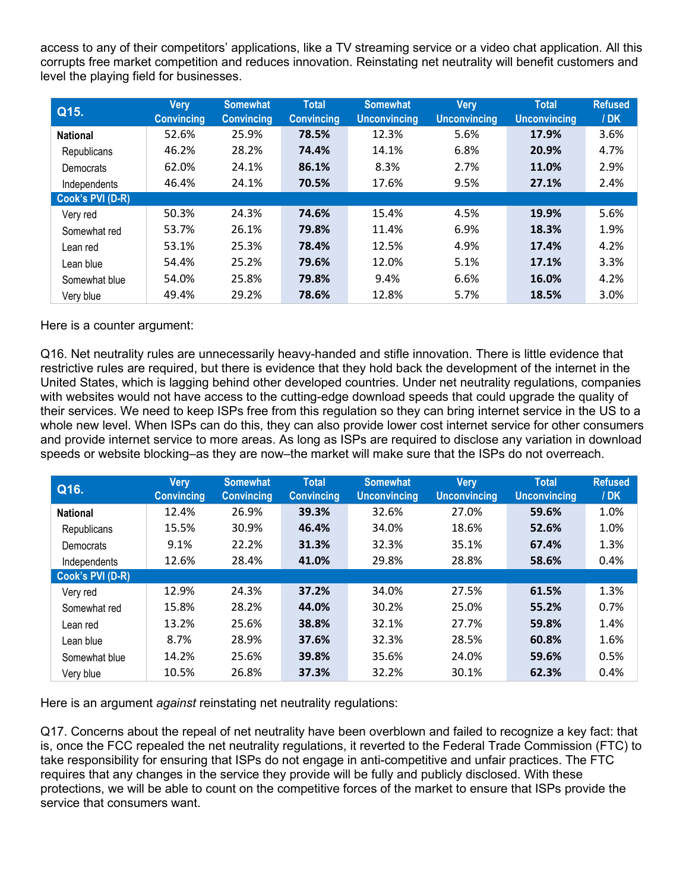access to any of their competitors' applications, like a TV streaming service or a video chat application. All this corrupts free market competition and reduces innovation. Reinstating net neutrality will benefit customers and level the playing field for businesses.

| Q15.             | <b>Very</b><br><b>Convincing</b> | <b>Somewhat</b><br><b>Convincing</b> | <b>Total</b><br><b>Convincing</b> | <b>Somewhat</b><br><b>Unconvincing</b> | <b>Very</b><br><b>Unconvincing</b> | <b>Total</b><br><b>Unconvincing</b> | <b>Refused</b><br>/ <b>DK</b> |
|------------------|----------------------------------|--------------------------------------|-----------------------------------|----------------------------------------|------------------------------------|-------------------------------------|-------------------------------|
| <b>National</b>  | 52.6%                            | 25.9%                                | 78.5%                             | 12.3%                                  | 5.6%                               | 17.9%                               | 3.6%                          |
| Republicans      | 46.2%                            | 28.2%                                | 74.4%                             | 14.1%                                  | 6.8%                               | 20.9%                               | 4.7%                          |
| Democrats        | 62.0%                            | 24.1%                                | 86.1%                             | 8.3%                                   | 2.7%                               | 11.0%                               | 2.9%                          |
| Independents     | 46.4%                            | 24.1%                                | 70.5%                             | 17.6%                                  | 9.5%                               | 27.1%                               | 2.4%                          |
| Cook's PVI (D-R) |                                  |                                      |                                   |                                        |                                    |                                     |                               |
| Very red         | 50.3%                            | 24.3%                                | 74.6%                             | 15.4%                                  | 4.5%                               | 19.9%                               | 5.6%                          |
| Somewhat red     | 53.7%                            | 26.1%                                | 79.8%                             | 11.4%                                  | 6.9%                               | 18.3%                               | 1.9%                          |
| Lean red         | 53.1%                            | 25.3%                                | 78.4%                             | 12.5%                                  | 4.9%                               | 17.4%                               | 4.2%                          |
| Lean blue        | 54.4%                            | 25.2%                                | 79.6%                             | 12.0%                                  | 5.1%                               | 17.1%                               | 3.3%                          |
| Somewhat blue    | 54.0%                            | 25.8%                                | 79.8%                             | 9.4%                                   | 6.6%                               | 16.0%                               | 4.2%                          |
| Very blue        | 49.4%                            | 29.2%                                | 78.6%                             | 12.8%                                  | 5.7%                               | 18.5%                               | 3.0%                          |

Here is a counter argument:

Q16. Net neutrality rules are unnecessarily heavy-handed and stifle innovation. There is little evidence that restrictive rules are required, but there is evidence that they hold back the development of the internet in the United States, which is lagging behind other developed countries. Under net neutrality regulations, companies with websites would not have access to the cutting-edge download speeds that could upgrade the quality of their services. We need to keep ISPs free from this regulation so they can bring internet service in the US to a whole new level. When ISPs can do this, they can also provide lower cost internet service for other consumers and provide internet service to more areas. As long as ISPs are required to disclose any variation in download speeds or website blocking–as they are now–the market will make sure that the ISPs do not overreach.

| Q16.             | <b>Very</b><br><b>Convincing</b> | <b>Somewhat</b><br><b>Convincing</b> | <b>Total</b><br><b>Convincing</b> | <b>Somewhat</b><br><b>Unconvincing</b> | <b>Very</b><br><b>Unconvincing</b> | <b>Total</b><br><b>Unconvincing</b> | <b>Refused</b><br>/ <b>DK</b> |  |
|------------------|----------------------------------|--------------------------------------|-----------------------------------|----------------------------------------|------------------------------------|-------------------------------------|-------------------------------|--|
| <b>National</b>  | 12.4%                            | 26.9%                                | 39.3%                             | 32.6%                                  | 27.0%                              | 59.6%                               | 1.0%                          |  |
| Republicans      | 15.5%                            | 30.9%                                | 46.4%                             | 34.0%                                  | 18.6%                              | 52.6%                               | 1.0%                          |  |
| Democrats        | 9.1%                             | 22.2%                                | 31.3%                             | 32.3%                                  | 35.1%                              | 67.4%                               | 1.3%                          |  |
| Independents     | 12.6%                            | 28.4%                                | 41.0%                             | 29.8%                                  | 28.8%                              | 58.6%                               | 0.4%                          |  |
| Cook's PVI (D-R) |                                  |                                      |                                   |                                        |                                    |                                     |                               |  |
| Very red         | 12.9%                            | 24.3%                                | 37.2%                             | 34.0%                                  | 27.5%                              | 61.5%                               | 1.3%                          |  |
| Somewhat red     | 15.8%                            | 28.2%                                | 44.0%                             | 30.2%                                  | 25.0%                              | 55.2%                               | 0.7%                          |  |
| Lean red         | 13.2%                            | 25.6%                                | 38.8%                             | 32.1%                                  | 27.7%                              | 59.8%                               | 1.4%                          |  |
| Lean blue        | 8.7%                             | 28.9%                                | 37.6%                             | 32.3%                                  | 28.5%                              | 60.8%                               | 1.6%                          |  |
| Somewhat blue    | 14.2%                            | 25.6%                                | 39.8%                             | 35.6%                                  | 24.0%                              | 59.6%                               | 0.5%                          |  |
| Very blue        | 10.5%                            | 26.8%                                | 37.3%                             | 32.2%                                  | 30.1%                              | 62.3%                               | 0.4%                          |  |

Here is an argument *against* reinstating net neutrality regulations:

Q17. Concerns about the repeal of net neutrality have been overblown and failed to recognize a key fact: that is, once the FCC repealed the net neutrality regulations, it reverted to the Federal Trade Commission (FTC) to take responsibility for ensuring that ISPs do not engage in anti-competitive and unfair practices. The FTC requires that any changes in the service they provide will be fully and publicly disclosed. With these protections, we will be able to count on the competitive forces of the market to ensure that ISPs provide the service that consumers want.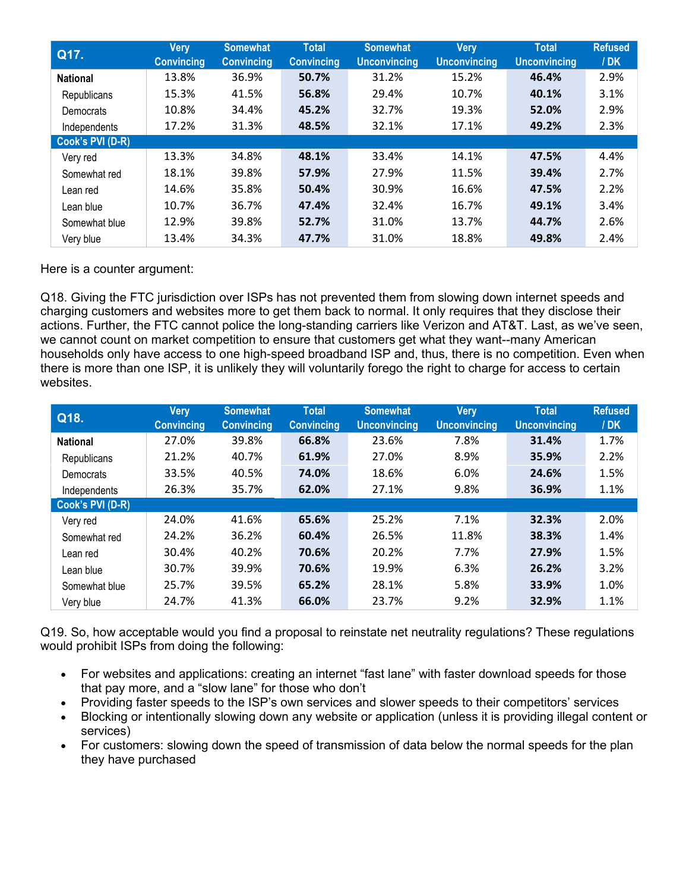| Q17.             | Very<br><b>Convincing</b> | <b>Somewhat</b><br><b>Convincing</b> | <b>Total</b><br><b>Convincing</b> | <b>Somewhat</b><br><b>Unconvincing</b> | <b>Very</b><br><b>Unconvincing</b> | <b>Total</b><br><b>Unconvincing</b> | <b>Refused</b><br>/DK |
|------------------|---------------------------|--------------------------------------|-----------------------------------|----------------------------------------|------------------------------------|-------------------------------------|-----------------------|
| <b>National</b>  | 13.8%                     | 36.9%                                | 50.7%                             | 31.2%                                  | 15.2%                              | 46.4%                               | 2.9%                  |
| Republicans      | 15.3%                     | 41.5%                                | 56.8%                             | 29.4%                                  | 10.7%                              | 40.1%                               | 3.1%                  |
| Democrats        | 10.8%                     | 34.4%                                | 45.2%                             | 32.7%                                  | 19.3%                              | 52.0%                               | 2.9%                  |
| Independents     | 17.2%                     | 31.3%                                | 48.5%                             | 32.1%                                  | 17.1%                              | 49.2%                               | 2.3%                  |
| Cook's PVI (D-R) |                           |                                      |                                   |                                        |                                    |                                     |                       |
| Very red         | 13.3%                     | 34.8%                                | 48.1%                             | 33.4%                                  | 14.1%                              | 47.5%                               | 4.4%                  |
| Somewhat red     | 18.1%                     | 39.8%                                | 57.9%                             | 27.9%                                  | 11.5%                              | 39.4%                               | 2.7%                  |
| Lean red         | 14.6%                     | 35.8%                                | 50.4%                             | 30.9%                                  | 16.6%                              | 47.5%                               | 2.2%                  |
| Lean blue        | 10.7%                     | 36.7%                                | 47.4%                             | 32.4%                                  | 16.7%                              | 49.1%                               | 3.4%                  |
| Somewhat blue    | 12.9%                     | 39.8%                                | 52.7%                             | 31.0%                                  | 13.7%                              | 44.7%                               | 2.6%                  |
| Very blue        | 13.4%                     | 34.3%                                | 47.7%                             | 31.0%                                  | 18.8%                              | 49.8%                               | 2.4%                  |

Here is a counter argument:

Q18. Giving the FTC jurisdiction over ISPs has not prevented them from slowing down internet speeds and charging customers and websites more to get them back to normal. It only requires that they disclose their actions. Further, the FTC cannot police the long-standing carriers like Verizon and AT&T. Last, as we've seen, we cannot count on market competition to ensure that customers get what they want--many American households only have access to one high-speed broadband ISP and, thus, there is no competition. Even when there is more than one ISP, it is unlikely they will voluntarily forego the right to charge for access to certain websites.

| Q18.             | Very<br><b>Convincing</b> | <b>Somewhat</b><br><b>Convincing</b> | <b>Total</b><br><b>Convincing</b> | <b>Somewhat</b><br><b>Unconvincing</b> | <b>Very</b><br><b>Unconvincing</b> | <b>Total</b><br><b>Unconvincing</b> | <b>Refused</b><br>/ <b>DK</b> |
|------------------|---------------------------|--------------------------------------|-----------------------------------|----------------------------------------|------------------------------------|-------------------------------------|-------------------------------|
| <b>National</b>  | 27.0%                     | 39.8%                                | 66.8%                             | 23.6%                                  | 7.8%                               | 31.4%                               | 1.7%                          |
| Republicans      | 21.2%                     | 40.7%                                | 61.9%                             | 27.0%                                  | 8.9%                               | 35.9%                               | 2.2%                          |
| Democrats        | 33.5%                     | 40.5%                                | 74.0%                             | 18.6%                                  | 6.0%                               | 24.6%                               | 1.5%                          |
| Independents     | 26.3%                     | 35.7%                                | 62.0%                             | 27.1%                                  | 9.8%                               | 36.9%                               | 1.1%                          |
| Cook's PVI (D-R) |                           |                                      |                                   |                                        |                                    |                                     |                               |
| Very red         | 24.0%                     | 41.6%                                | 65.6%                             | 25.2%                                  | 7.1%                               | 32.3%                               | 2.0%                          |
| Somewhat red     | 24.2%                     | 36.2%                                | 60.4%                             | 26.5%                                  | 11.8%                              | 38.3%                               | 1.4%                          |
| Lean red         | 30.4%                     | 40.2%                                | 70.6%                             | 20.2%                                  | 7.7%                               | 27.9%                               | 1.5%                          |
| Lean blue        | 30.7%                     | 39.9%                                | 70.6%                             | 19.9%                                  | 6.3%                               | 26.2%                               | 3.2%                          |
| Somewhat blue    | 25.7%                     | 39.5%                                | 65.2%                             | 28.1%                                  | 5.8%                               | 33.9%                               | 1.0%                          |
| Very blue        | 24.7%                     | 41.3%                                | 66.0%                             | 23.7%                                  | 9.2%                               | 32.9%                               | 1.1%                          |

Q19. So, how acceptable would you find a proposal to reinstate net neutrality regulations? These regulations would prohibit ISPs from doing the following:

- For websites and applications: creating an internet "fast lane" with faster download speeds for those that pay more, and a "slow lane" for those who don't
- Providing faster speeds to the ISP's own services and slower speeds to their competitors' services
- Blocking or intentionally slowing down any website or application (unless it is providing illegal content or services)
- For customers: slowing down the speed of transmission of data below the normal speeds for the plan they have purchased